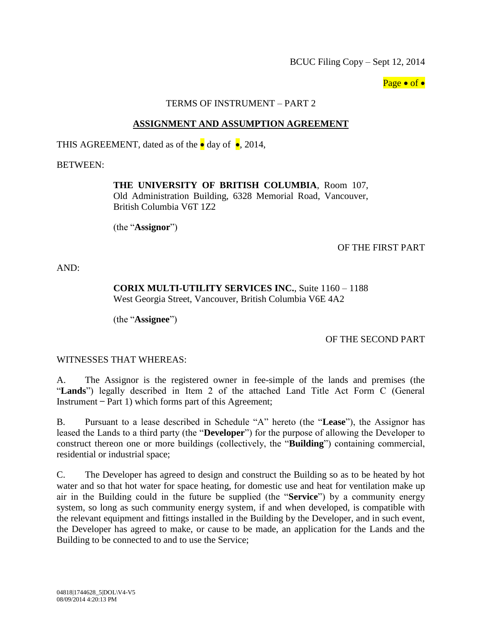BCUC Filing Copy – Sept 12, 2014

Page  $\bullet$  of  $\bullet$ 

#### TERMS OF INSTRUMENT – PART 2

### **ASSIGNMENT AND ASSUMPTION AGREEMENT**

THIS AGREEMENT, dated as of the  $\bullet$  day of  $\bullet$ , 2014,

BETWEEN:

### **THE UNIVERSITY OF BRITISH COLUMBIA**, Room 107,

Old Administration Building, 6328 Memorial Road, Vancouver, British Columbia V6T 1Z2

(the "**Assignor**")

### OF THE FIRST PART

AND:

### **CORIX MULTI-UTILITY SERVICES INC.**, Suite 1160 – 1188 West Georgia Street, Vancouver, British Columbia V6E 4A2

(the "**Assignee**")

## OF THE SECOND PART

WITNESSES THAT WHEREAS:

A. The Assignor is the registered owner in fee-simple of the lands and premises (the "**Lands**") legally described in Item 2 of the attached Land Title Act Form C (General Instrument ̶ Part 1) which forms part of this Agreement;

B. Pursuant to a lease described in Schedule "A" hereto (the "**Lease**"), the Assignor has leased the Lands to a third party (the "**Developer**") for the purpose of allowing the Developer to construct thereon one or more buildings (collectively, the "**Building**") containing commercial, residential or industrial space;

C. The Developer has agreed to design and construct the Building so as to be heated by hot water and so that hot water for space heating, for domestic use and heat for ventilation make up air in the Building could in the future be supplied (the "**Service**") by a community energy system, so long as such community energy system, if and when developed, is compatible with the relevant equipment and fittings installed in the Building by the Developer, and in such event, the Developer has agreed to make, or cause to be made, an application for the Lands and the Building to be connected to and to use the Service;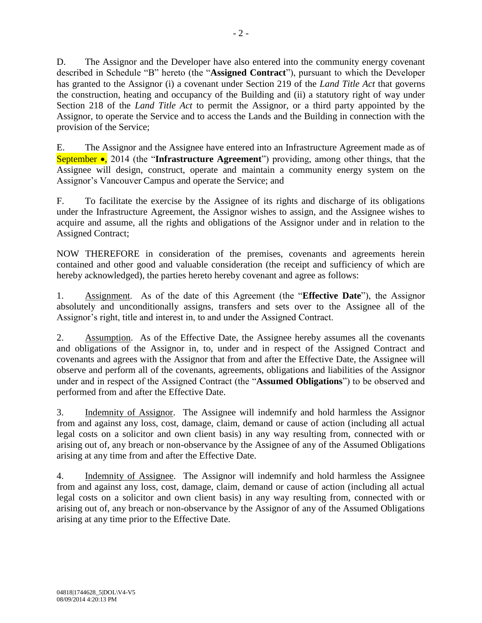D. The Assignor and the Developer have also entered into the community energy covenant described in Schedule "B" hereto (the "**Assigned Contract**"), pursuant to which the Developer has granted to the Assignor (i) a covenant under Section 219 of the *Land Title Act* that governs the construction, heating and occupancy of the Building and (ii) a statutory right of way under Section 218 of the *Land Title Act* to permit the Assignor, or a third party appointed by the Assignor, to operate the Service and to access the Lands and the Building in connection with the provision of the Service;

E. The Assignor and the Assignee have entered into an Infrastructure Agreement made as of September •, 2014 (the "Infrastructure Agreement") providing, among other things, that the Assignee will design, construct, operate and maintain a community energy system on the Assignor's Vancouver Campus and operate the Service; and

F. To facilitate the exercise by the Assignee of its rights and discharge of its obligations under the Infrastructure Agreement, the Assignor wishes to assign, and the Assignee wishes to acquire and assume, all the rights and obligations of the Assignor under and in relation to the Assigned Contract;

NOW THEREFORE in consideration of the premises, covenants and agreements herein contained and other good and valuable consideration (the receipt and sufficiency of which are hereby acknowledged), the parties hereto hereby covenant and agree as follows:

1. Assignment. As of the date of this Agreement (the "**Effective Date**"), the Assignor absolutely and unconditionally assigns, transfers and sets over to the Assignee all of the Assignor's right, title and interest in, to and under the Assigned Contract.

2. Assumption. As of the Effective Date, the Assignee hereby assumes all the covenants and obligations of the Assignor in, to, under and in respect of the Assigned Contract and covenants and agrees with the Assignor that from and after the Effective Date, the Assignee will observe and perform all of the covenants, agreements, obligations and liabilities of the Assignor under and in respect of the Assigned Contract (the "**Assumed Obligations**") to be observed and performed from and after the Effective Date.

3. Indemnity of Assignor. The Assignee will indemnify and hold harmless the Assignor from and against any loss, cost, damage, claim, demand or cause of action (including all actual legal costs on a solicitor and own client basis) in any way resulting from, connected with or arising out of, any breach or non-observance by the Assignee of any of the Assumed Obligations arising at any time from and after the Effective Date.

4. Indemnity of Assignee. The Assignor will indemnify and hold harmless the Assignee from and against any loss, cost, damage, claim, demand or cause of action (including all actual legal costs on a solicitor and own client basis) in any way resulting from, connected with or arising out of, any breach or non-observance by the Assignor of any of the Assumed Obligations arising at any time prior to the Effective Date.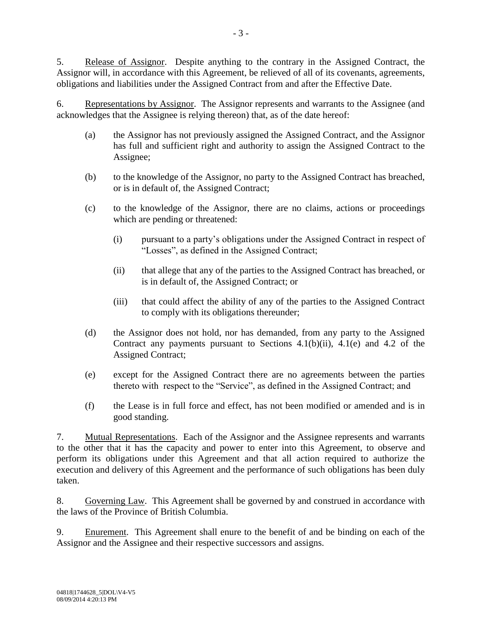5. Release of Assignor. Despite anything to the contrary in the Assigned Contract, the Assignor will, in accordance with this Agreement, be relieved of all of its covenants, agreements, obligations and liabilities under the Assigned Contract from and after the Effective Date.

6. Representations by Assignor. The Assignor represents and warrants to the Assignee (and acknowledges that the Assignee is relying thereon) that, as of the date hereof:

- (a) the Assignor has not previously assigned the Assigned Contract, and the Assignor has full and sufficient right and authority to assign the Assigned Contract to the Assignee;
- (b) to the knowledge of the Assignor, no party to the Assigned Contract has breached, or is in default of, the Assigned Contract;
- (c) to the knowledge of the Assignor, there are no claims, actions or proceedings which are pending or threatened:
	- (i) pursuant to a party's obligations under the Assigned Contract in respect of "Losses", as defined in the Assigned Contract;
	- (ii) that allege that any of the parties to the Assigned Contract has breached, or is in default of, the Assigned Contract; or
	- (iii) that could affect the ability of any of the parties to the Assigned Contract to comply with its obligations thereunder;
- (d) the Assignor does not hold, nor has demanded, from any party to the Assigned Contract any payments pursuant to Sections  $4.1(b)(ii)$ ,  $4.1(e)$  and  $4.2$  of the Assigned Contract;
- (e) except for the Assigned Contract there are no agreements between the parties thereto with respect to the "Service", as defined in the Assigned Contract; and
- (f) the Lease is in full force and effect, has not been modified or amended and is in good standing.

7. Mutual Representations. Each of the Assignor and the Assignee represents and warrants to the other that it has the capacity and power to enter into this Agreement, to observe and perform its obligations under this Agreement and that all action required to authorize the execution and delivery of this Agreement and the performance of such obligations has been duly taken.

8. Governing Law. This Agreement shall be governed by and construed in accordance with the laws of the Province of British Columbia.

9. Enurement. This Agreement shall enure to the benefit of and be binding on each of the Assignor and the Assignee and their respective successors and assigns.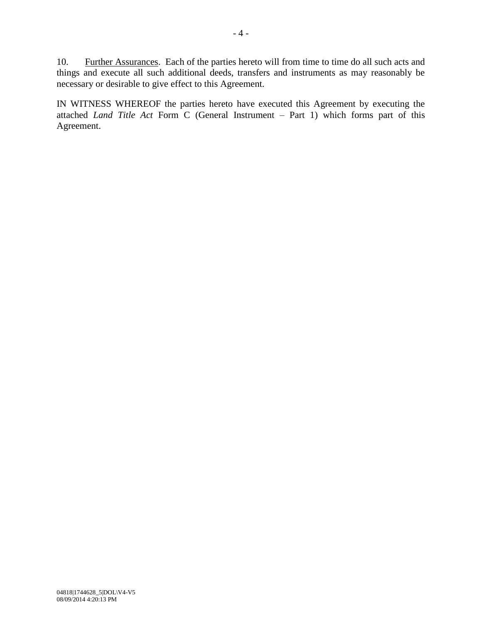10. Further Assurances. Each of the parties hereto will from time to time do all such acts and things and execute all such additional deeds, transfers and instruments as may reasonably be necessary or desirable to give effect to this Agreement.

IN WITNESS WHEREOF the parties hereto have executed this Agreement by executing the attached *Land Title Act* Form C (General Instrument – Part 1) which forms part of this Agreement.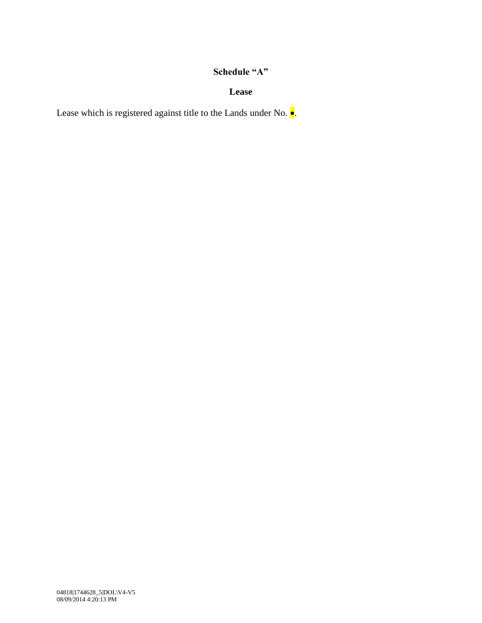# **Schedule "A"**

### **Lease**

Lease which is registered against title to the Lands under No.  $\bullet$ .